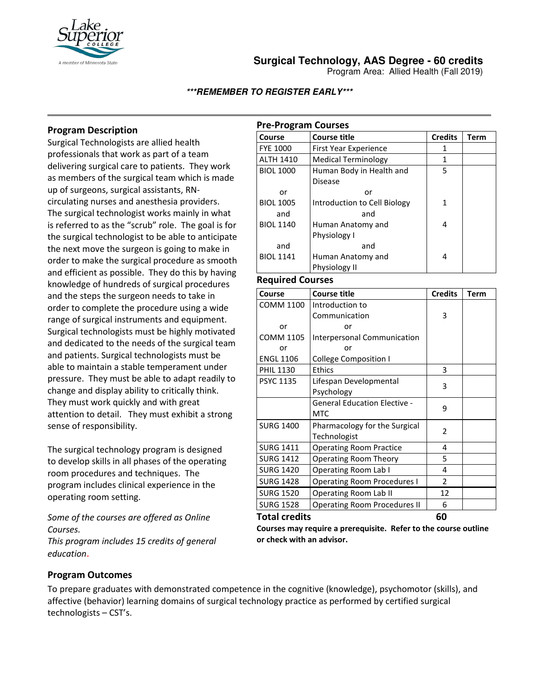

## **Surgical Technology, AAS Degree - 60 credits**

Program Area: Allied Health (Fall 2019)

#### **\*\*\*REMEMBER TO REGISTER EARLY\*\*\***

## **Program Description**

Surgical Technologists are allied health professionals that work as part of a team delivering surgical care to patients. They work as members of the surgical team which is made up of surgeons, surgical assistants, RNcirculating nurses and anesthesia providers. The surgical technologist works mainly in what is referred to as the "scrub" role. The goal is for the surgical technologist to be able to anticipate the next move the surgeon is going to make in order to make the surgical procedure as smooth and efficient as possible. They do this by having knowledge of hundreds of surgical procedures and the steps the surgeon needs to take in order to complete the procedure using a wide range of surgical instruments and equipment. Surgical technologists must be highly motivated and dedicated to the needs of the surgical team and patients. Surgical technologists must be able to maintain a stable temperament under pressure. They must be able to adapt readily to change and display ability to critically think. They must work quickly and with great attention to detail. They must exhibit a strong sense of responsibility.

The surgical technology program is designed to develop skills in all phases of the operating room procedures and techniques. The program includes clinical experience in the operating room setting.

*Some of the courses are offered as Online Courses. This program includes 15 credits of general* 

*education*.

### **Pre-Program Courses**

| Course           | <b>Course title</b>          | <b>Credits</b> | Term |
|------------------|------------------------------|----------------|------|
| <b>FYE 1000</b>  | First Year Experience        | 1              |      |
| <b>ALTH 1410</b> | <b>Medical Terminology</b>   | 1              |      |
| <b>BIOL 1000</b> | Human Body in Health and     | 5              |      |
|                  | <b>Disease</b>               |                |      |
| or               | or                           |                |      |
| <b>BIOL 1005</b> | Introduction to Cell Biology | 1              |      |
| and              | and                          |                |      |
| <b>BIOL 1140</b> | Human Anatomy and            | 4              |      |
|                  | Physiology I                 |                |      |
| and              | and                          |                |      |
| <b>BIOL 1141</b> | Human Anatomy and            | 4              |      |
|                  | Physiology II                |                |      |

#### **Required Courses**

| Course                     | <b>Course title</b>                 | <b>Credits</b> | Term |
|----------------------------|-------------------------------------|----------------|------|
| <b>COMM 1100</b>           | Introduction to                     |                |      |
|                            | Communication                       | 3              |      |
| or                         | or                                  |                |      |
| <b>COMM 1105</b>           | Interpersonal Communication         |                |      |
| or                         | or                                  |                |      |
| <b>ENGL 1106</b>           | <b>College Composition I</b>        |                |      |
| <b>PHIL 1130</b>           | <b>Ethics</b>                       | 3              |      |
| <b>PSYC 1135</b>           | Lifespan Developmental              | 3              |      |
|                            | Psychology                          |                |      |
|                            | <b>General Education Elective -</b> | 9              |      |
|                            | <b>MTC</b>                          |                |      |
| <b>SURG 1400</b>           | Pharmacology for the Surgical       | 2              |      |
|                            | Technologist                        |                |      |
| <b>SURG 1411</b>           | <b>Operating Room Practice</b>      | 4              |      |
| <b>SURG 1412</b>           | Operating Room Theory               | 5              |      |
| <b>SURG 1420</b>           | Operating Room Lab I                | 4              |      |
| <b>SURG 1428</b>           | <b>Operating Room Procedures I</b>  | 2              |      |
| <b>SURG 1520</b>           | <b>Operating Room Lab II</b>        | 12             |      |
| <b>SURG 1528</b>           | <b>Operating Room Procedures II</b> | 6              |      |
| <b>Total credits</b><br>60 |                                     |                |      |

**Courses may require a prerequisite. Refer to the course outline or check with an advisor.**

#### **Program Outcomes**

To prepare graduates with demonstrated competence in the cognitive (knowledge), psychomotor (skills), and affective (behavior) learning domains of surgical technology practice as performed by certified surgical technologists – CST's.